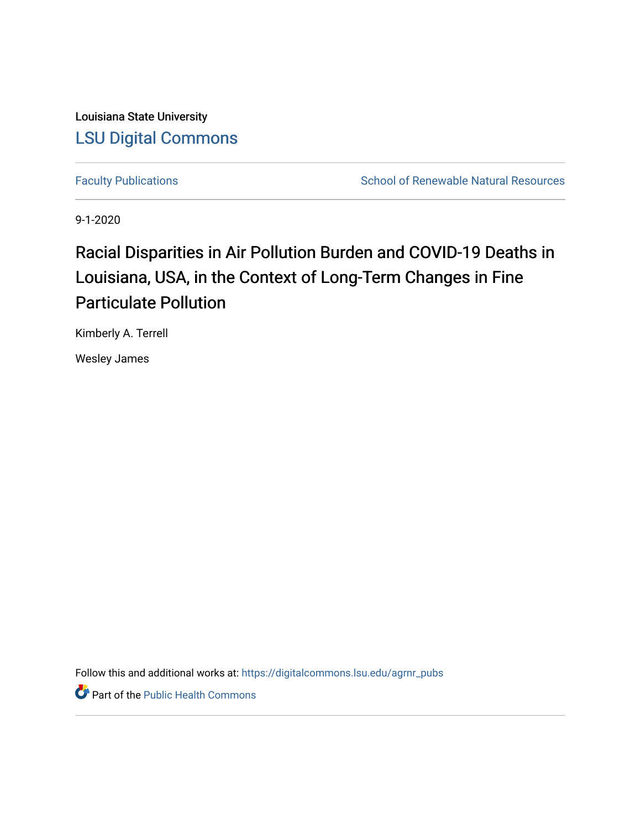Louisiana State University [LSU Digital Commons](https://digitalcommons.lsu.edu/)

[Faculty Publications](https://digitalcommons.lsu.edu/agrnr_pubs) **School of Renewable Natural Resources** School of Renewable Natural Resources

9-1-2020

# Racial Disparities in Air Pollution Burden and COVID-19 Deaths in Louisiana, USA, in the Context of Long-Term Changes in Fine Particulate Pollution

Kimberly A. Terrell

Wesley James

Follow this and additional works at: [https://digitalcommons.lsu.edu/agrnr\\_pubs](https://digitalcommons.lsu.edu/agrnr_pubs?utm_source=digitalcommons.lsu.edu%2Fagrnr_pubs%2F5&utm_medium=PDF&utm_campaign=PDFCoverPages) 

Part of the [Public Health Commons](http://network.bepress.com/hgg/discipline/738?utm_source=digitalcommons.lsu.edu%2Fagrnr_pubs%2F5&utm_medium=PDF&utm_campaign=PDFCoverPages)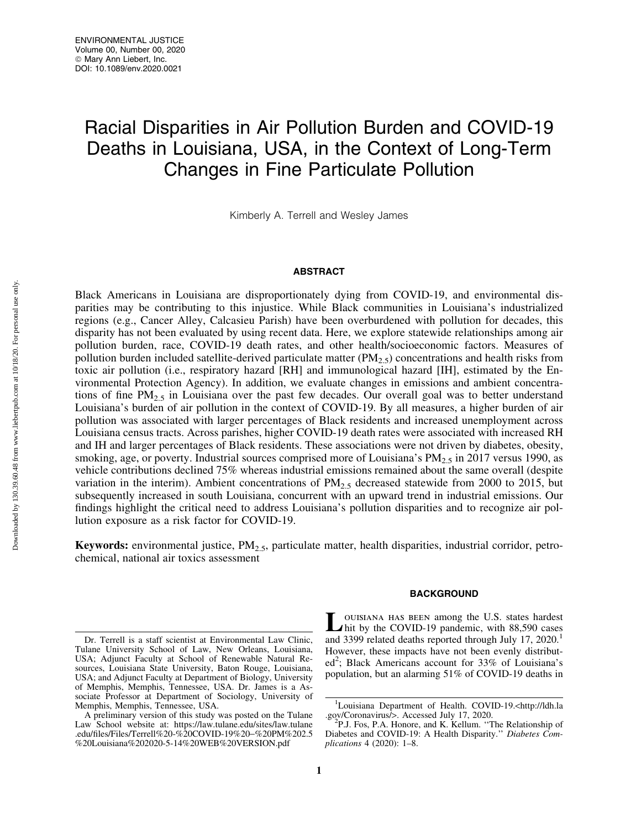# Racial Disparities in Air Pollution Burden and COVID-19 Deaths in Louisiana, USA, in the Context of Long-Term Changes in Fine Particulate Pollution

Kimberly A. Terrell and Wesley James

# **ABSTRACT**

Black Americans in Louisiana are disproportionately dying from COVID-19, and environmental disparities may be contributing to this injustice. While Black communities in Louisiana's industrialized regions (e.g., Cancer Alley, Calcasieu Parish) have been overburdened with pollution for decades, this disparity has not been evaluated by using recent data. Here, we explore statewide relationships among air pollution burden, race, COVID-19 death rates, and other health/socioeconomic factors. Measures of pollution burden included satellite-derived particulate matter ( $PM<sub>2.5</sub>$ ) concentrations and health risks from toxic air pollution (i.e., respiratory hazard [RH] and immunological hazard [IH], estimated by the Environmental Protection Agency). In addition, we evaluate changes in emissions and ambient concentrations of fine  $PM_{2.5}$  in Louisiana over the past few decades. Our overall goal was to better understand Louisiana's burden of air pollution in the context of COVID-19. By all measures, a higher burden of air pollution was associated with larger percentages of Black residents and increased unemployment across Louisiana census tracts. Across parishes, higher COVID-19 death rates were associated with increased RH and IH and larger percentages of Black residents. These associations were not driven by diabetes, obesity, smoking, age, or poverty. Industrial sources comprised more of Louisiana's  $PM_{2.5}$  in 2017 versus 1990, as vehicle contributions declined 75% whereas industrial emissions remained about the same overall (despite variation in the interim). Ambient concentrations of  $PM_{2.5}$  decreased statewide from 2000 to 2015, but subsequently increased in south Louisiana, concurrent with an upward trend in industrial emissions. Our findings highlight the critical need to address Louisiana's pollution disparities and to recognize air pollution exposure as a risk factor for COVID-19.

**Keywords:** environmental justice,  $PM_{2.5}$ , particulate matter, health disparities, industrial corridor, petrochemical, national air toxics assessment

# BACKGROUND

Louisiana has been among the U.S. states hardest<br>hit by the COVID-19 pandemic, with 88,590 cases and 3399 related deaths reported through July 17, 2020.<sup>1</sup> However, these impacts have not been evenly distributed<sup>2</sup>; Black Americans account for 33% of Louisiana's population, but an alarming 51% of COVID-19 deaths in

Dr. Terrell is a staff scientist at Environmental Law Clinic, Tulane University School of Law, New Orleans, Louisiana, USA; Adjunct Faculty at School of Renewable Natural Resources, Louisiana State University, Baton Rouge, Louisiana, USA; and Adjunct Faculty at Department of Biology, University of Memphis, Memphis, Tennessee, USA. Dr. James is a Associate Professor at Department of Sociology, University of Memphis, Memphis, Tennessee, USA.

A preliminary version of this study was posted on the Tulane Law School website at: [https://law.tulane.edu/sites/law.tulane](https://law.tulane.edu/sites/law.tulane.edu/files/Files/Terrell%20-%20COVID-19%20−%20PM%202.5%20Louisiana%202020-5-14%20WEB%20VERSION.pdf) [.edu/files/Files/Terrell%20-%20COVID-19%20](https://law.tulane.edu/sites/law.tulane.edu/files/Files/Terrell%20-%20COVID-19%20−%20PM%202.5%20Louisiana%202020-5-14%20WEB%20VERSION.pdf)-%20PM%202.5 [%20Louisiana%202020-5-14%20WEB%20VERSION.pdf](https://law.tulane.edu/sites/law.tulane.edu/files/Files/Terrell%20-%20COVID-19%20−%20PM%202.5%20Louisiana%202020-5-14%20WEB%20VERSION.pdf)

<sup>&</sup>lt;sup>1</sup>Louisiana Department of Health. COVID-19.<[http://ldh.la](http://ldh.la.gov/Coronavirus/) [.gov/Coronavirus/](http://ldh.la.gov/Coronavirus/)>. Accessed July 17, 2020. <sup>2</sup>

P.J. Fos, P.A. Honore, and K. Kellum. ''The Relationship of Diabetes and COVID-19: A Health Disparity.'' *Diabetes Complications* 4 (2020): 1–8.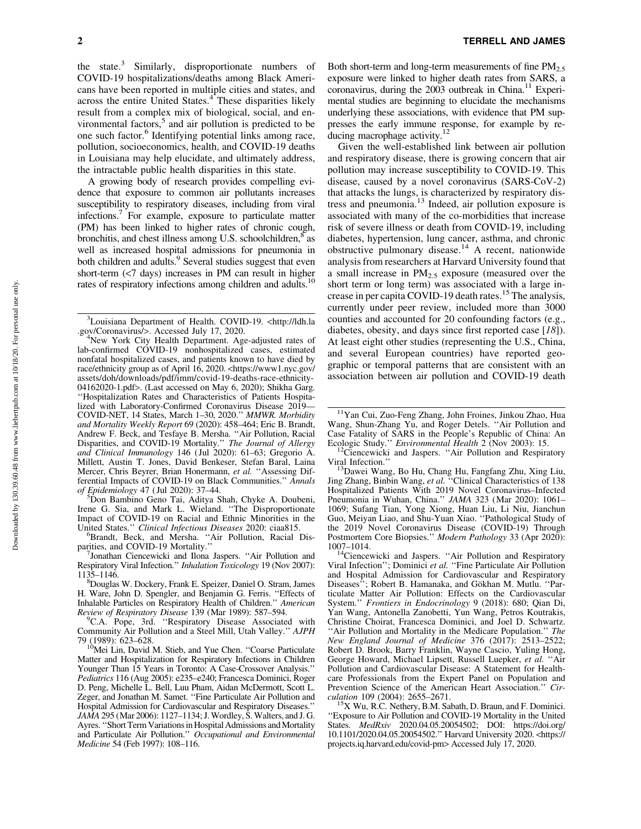the state. $3$  Similarly, disproportionate numbers of COVID-19 hospitalizations/deaths among Black Americans have been reported in multiple cities and states, and across the entire United States.<sup>4</sup> These disparities likely result from a complex mix of biological, social, and environmental factors, $5$  and air pollution is predicted to be one such factor.<sup>6</sup> Identifying potential links among race, pollution, socioeconomics, health, and COVID-19 deaths in Louisiana may help elucidate, and ultimately address, the intractable public health disparities in this state.

A growing body of research provides compelling evidence that exposure to common air pollutants increases susceptibility to respiratory diseases, including from viral infections.7 For example, exposure to particulate matter (PM) has been linked to higher rates of chronic cough, bronchitis, and chest illness among U.S. schoolchildren, $\frac{8}{3}$  as well as increased hospital admissions for pneumonia in both children and adults.<sup>9</sup> Several studies suggest that even short-term (<7 days) increases in PM can result in higher rates of respiratory infections among children and adults.<sup>10</sup>

Don Bambino Geno Tai, Aditya Shah, Chyke A. Doubeni, Irene G. Sia, and Mark L. Wieland. ''The Disproportionate Impact of COVID-19 on Racial and Ethnic Minorities in the United States." Clinical Infectious Diseases 2020: ciaa815.

United States." *Clinical Infectious Diseases* 2020: ciaa815.<br><sup>6</sup>Brandt, Beck, and Mersha. "Air Pollution, Racial Disparities, and COVID-19 Mortality."<br><sup>7</sup>Ionathan Ciancawicki and Ilona

<sup>7</sup>Jonathan Ciencewicki and Ilona Jaspers. "Air Pollution and Respiratory Viral Infection.'' *Inhalation Toxicology* 19 (Nov 2007): 1135–1146. <sup>8</sup>

Douglas W. Dockery, Frank E. Speizer, Daniel O. Stram, James H. Ware, John D. Spengler, and Benjamin G. Ferris. ''Effects of Inhalable Particles on Respiratory Health of Children.'' *American Review of Respiratory Disease* 139 (Mar 1989): 587-594.

<sup>9</sup>C.A. Pope, 3rd. "Respiratory Disease Associated with Community Air Pollution and a Steel Mill, Utah Valley.'' *AJPH* 79 (1989): 623–628. 10Mei Lin, David M. Stieb, and Yue Chen. ''Coarse Particulate

 $2$  TERRELL AND JAMES

Both short-term and long-term measurements of fine  $PM<sub>2.5</sub>$ exposure were linked to higher death rates from SARS, a coronavirus, during the  $2003$  outbreak in China.<sup>11</sup> Experimental studies are beginning to elucidate the mechanisms underlying these associations, with evidence that PM suppresses the early immune response, for example by reducing macrophage activity.<sup>12</sup>

Given the well-established link between air pollution and respiratory disease, there is growing concern that air pollution may increase susceptibility to COVID-19. This disease, caused by a novel coronavirus (SARS-CoV-2) that attacks the lungs, is characterized by respiratory distress and pneumonia.13 Indeed, air pollution exposure is associated with many of the co-morbidities that increase risk of severe illness or death from COVID-19, including diabetes, hypertension, lung cancer, asthma, and chronic obstructive pulmonary disease.<sup>14</sup> A recent, nationwide analysis from researchers at Harvard University found that a small increase in  $PM<sub>2.5</sub>$  exposure (measured over the short term or long term) was associated with a large increase in per capita COVID-19 death rates.<sup>15</sup> The analysis, currently under peer review, included more than 3000 counties and accounted for 20 confounding factors (e.g., diabetes, obesity, and days since first reported case [*18*]). At least eight other studies (representing the U.S., China, and several European countries) have reported geographic or temporal patterns that are consistent with an association between air pollution and COVID-19 death

Ecologic Study.'' *Environmental Health* 2 (Nov 2003): 15.<br><sup>12</sup>Ciencewicki and Jaspers. "Air Pollution and Respiratory Viral Infection."

<sup>&</sup>lt;sup>3</sup>Louisiana Department of Health. COVID-19. <[http://ldh.la](http://<http://ldh.la.gov/Coronavirus/>) [.gov/Coronavirus/](http://<http://ldh.la.gov/Coronavirus/>)>. Accessed July 17, 2020. <sup>4</sup>

<sup>&</sup>lt;sup>4</sup>New York City Health Department. Age-adjusted rates of lab-confirmed COVID-19 nonhospitalized cases, estimated nonfatal hospitalized cases, and patients known to have died by race/ethnicity group as of April 16, 2020. <[https://www1.nyc.gov/](https://www1.nyc.gov/assets/doh/downloads/pdf/imm/covid-19-deaths-race-ethnicity-04162020-1.pdf) [assets/doh/downloads/pdf/imm/covid-19-deaths-race-ethnicity-](https://www1.nyc.gov/assets/doh/downloads/pdf/imm/covid-19-deaths-race-ethnicity-04162020-1.pdf)[04162020-1.pdf](https://www1.nyc.gov/assets/doh/downloads/pdf/imm/covid-19-deaths-race-ethnicity-04162020-1.pdf)>. (Last accessed on May 6, 2020); Shikha Garg. ''Hospitalization Rates and Characteristics of Patients Hospitalized with Laboratory-Confirmed Coronavirus Disease 2019— COVID-NET, 14 States, March 1–30, 2020.'' *MMWR. Morbidity and Mortality Weekly Report* 69 (2020): 458–464; Eric B. Brandt, Andrew F. Beck, and Tesfaye B. Mersha. ''Air Pollution, Racial Disparities, and COVID-19 Mortality.'' *The Journal of Allergy and Clinical Immunology* 146 (Jul 2020): 61–63; Gregorio A. Millett, Austin T. Jones, David Benkeser, Stefan Baral, Laina Mercer, Chris Beyrer, Brian Honermann, *et al.* ''Assessing Differential Impacts of COVID-19 on Black Communities.'' *Annals of Epidemiology* 47 (Jul 2020): 37–44. <sup>5</sup>

Matter and Hospitalization for Respiratory Infections in Children Younger Than 15 Years in Toronto: A Case-Crossover Analysis.'' *Pediatrics* 116 (Aug 2005): e235–e240; Francesca Dominici, Roger D. Peng, Michelle L. Bell, Luu Pham, Aidan McDermott, Scott L. Zeger, and Jonathan M. Samet. ''Fine Particulate Air Pollution and Hospital Admission for Cardiovascular and Respiratory Diseases. *JAMA* 295 (Mar 2006): 1127–1134; J. Wordley, S. Walters, and J. G. Ayres. ''Short Term Variations in Hospital Admissions and Mortality and Particulate Air Pollution.'' *Occupational and Environmental Medicine* 54 (Feb 1997): 108–116.

<sup>11</sup>Yan Cui, Zuo-Feng Zhang, John Froines, Jinkou Zhao, Hua Wang, Shun-Zhang Yu, and Roger Detels. ''Air Pollution and Case Fatality of SARS in the People's Republic of China: An

Viral Infection."<br><sup>13</sup>Dawei Wang, Bo Hu, Chang Hu, Fangfang Zhu, Xing Liu, Jing Zhang, Binbin Wang, *et al.* ''Clinical Characteristics of 138 Hospitalized Patients With 2019 Novel Coronavirus–Infected Pneumonia in Wuhan, China.'' *JAMA* 323 (Mar 2020): 1061– 1069; Sufang Tian, Yong Xiong, Huan Liu, Li Niu, Jianchun Guo, Meiyan Liao, and Shu-Yuan Xiao. ''Pathological Study of the 2019 Novel Coronavirus Disease (COVID-19) Through Postmortem Core Biopsies.'' *Modern Pathology* 33 (Apr 2020):

 $14$ Ciencewicki and Jaspers. "Air Pollution and Respiratory Viral Infection''; Dominici *et al.* ''Fine Particulate Air Pollution and Hospital Admission for Cardiovascular and Respiratory Diseases"; Robert B. Hamanaka, and Gökhan M. Mutlu. "Particulate Matter Air Pollution: Effects on the Cardiovascular System.'' *Frontiers in Endocrinology* 9 (2018): 680; Qian Di, Yan Wang, Antonella Zanobetti, Yun Wang, Petros Koutrakis, Christine Choirat, Francesca Dominici, and Joel D. Schwartz. ''Air Pollution and Mortality in the Medicare Population.'' *The New England Journal of Medicine* 376 (2017): 2513–2522; Robert D. Brook, Barry Franklin, Wayne Cascio, Yuling Hong, George Howard, Michael Lipsett, Russell Luepker, *et al.* ''Air Pollution and Cardiovascular Disease: A Statement for Healthcare Professionals from the Expert Panel on Population and Prevention Science of the American Heart Association." *Cir-*<br>
<sup>15</sup>Y W<sub>2</sub>, **P.C.** Next, **P.C.** Next, **P.C.** Next, **P.C.** Next, **P.C.** Next, **P.C.** Next, **P.C.** Next, **P.C.** Next, **P.C.** Next, **P.C.** Next, **P.C.** Next, **P.C** 

<sup>&</sup>lt;sup>*X*</sup> Wu, R.C. Nethery, B.M. Sabath, D. Braun, and F. Dominici. ''Exposure to Air Pollution and COVID-19 Mortality in the United States. *MedRxiv* 2020.04.05.20054502; DOI: [https://doi.org/](https://doi.org/10.1101/2020.04.05.20054502.”) [10.1101/2020.04.05.20054502.''](https://doi.org/10.1101/2020.04.05.20054502.”) Harvard University 2020. <[https://](https://projects.iq.harvard.edu/covid-pm) [projects.iq.harvard.edu/covid-pm](https://projects.iq.harvard.edu/covid-pm)> Accessed July 17, 2020.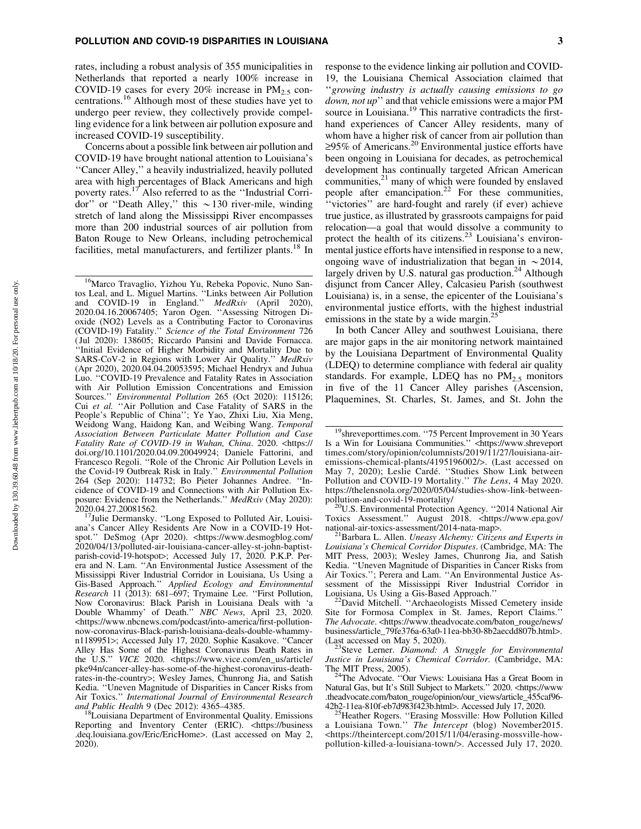rates, including a robust analysis of 355 municipalities in Netherlands that reported a nearly 100% increase in COVID-19 cases for every  $20\%$  increase in  $PM_{2.5}$  concentrations.<sup>16</sup> Although most of these studies have yet to undergo peer review, they collectively provide compelling evidence for a link between air pollution exposure and increased COVID-19 susceptibility.

Concerns about a possible link between air pollution and COVID-19 have brought national attention to Louisiana's ''Cancer Alley,'' a heavily industrialized, heavily polluted area with high percentages of Black Americans and high poverty rates.17 Also referred to as the ''Industrial Corridor" or "Death Alley," this  $\sim$  130 river-mile, winding stretch of land along the Mississippi River encompasses more than 200 industrial sources of air pollution from Baton Rouge to New Orleans, including petrochemical facilities, metal manufacturers, and fertilizer plants.<sup>18</sup> In

<sup>16</sup>Marco Travaglio, Yizhou Yu, Rebeka Popovic, Nuno Santos Leal, and L. Miguel Martins. ''Links between Air Pollution and COVID-19 in England.'' *MedRxiv* (April 2020), 2020.04.16.20067405; Yaron Ogen. ''Assessing Nitrogen Dioxide (NO2) Levels as a Contributing Factor to Coronavirus (COVID-19) Fatality.'' *Science of the Total Environment* 726 ( Jul 2020): 138605; Riccardo Pansini and Davide Fornacca. ''Initial Evidence of Higher Morbidity and Mortality Due to SARS-CoV-2 in Regions with Lower Air Quality.'' *MedRxiv* (Apr 2020), 2020.04.04.20053595; Michael Hendryx and Juhua Luo. ''COVID-19 Prevalence and Fatality Rates in Association with Air Pollution Emission Concentrations and Emission Sources.'' *Environmental Pollution* 265 (Oct 2020): 115126; Cui *et al.* ''Air Pollution and Case Fatality of SARS in the People's Republic of China''; Ye Yao, Zhixi Liu, Xia Meng, Weidong Wang, Haidong Kan, and Weibing Wang. *Temporal Association Between Particulate Matter Pollution and Case Fatality Rate of COVID-19 in Wuhan, China*. 2020. <[https://](https://doi.org/10.1101/2020.04.09.20049924;) [doi.org/10.1101/2020.04.09.20049924;](https://doi.org/10.1101/2020.04.09.20049924;) Daniele Fattorini, and Francesco Regoli. ''Role of the Chronic Air Pollution Levels in the Covid-19 Outbreak Risk in Italy.'' *Environmental Pollution* 264 (Sep 2020): 114732; Bo Pieter Johannes Andree. ''Incidence of COVID-19 and Connections with Air Pollution Exposure: Evidence from the Netherlands.'' *MedRxiv* (May 2020): 2020.04.27.20081562.<br><sup>17</sup>Julie Dermansky. "Long Exposed to Polluted Air, Louisi-

ana's Cancer Alley Residents Are Now in a COVID-19 Hotspot.'' DeSmog (Apr 2020). <[https://www.desmogblog.com/](https://www.desmogblog.com/2020/04/13/polluted-air-louisiana-cancer-alley-st-john-baptist-parish-covid-19-hotspot>;) [2020/04/13/polluted-air-louisiana-cancer-alley-st-john-baptist](https://www.desmogblog.com/2020/04/13/polluted-air-louisiana-cancer-alley-st-john-baptist-parish-covid-19-hotspot>;)[parish-covid-19-hotspot](https://www.desmogblog.com/2020/04/13/polluted-air-louisiana-cancer-alley-st-john-baptist-parish-covid-19-hotspot>;)>; Accessed July 17, 2020. P.K.P. Perera and N. Lam. ''An Environmental Justice Assessment of the Mississippi River Industrial Corridor in Louisiana, Us Using a Gis-Based Approach.'' *Applied Ecology and Environmental Research* 11 (2013): 681–697; Trymaine Lee. ''First Pollution, Now Coronavirus: Black Parish in Louisiana Deals with 'a Double Whammy' of Death.'' *NBC News*, April 23, 2020. <[https://www.nbcnews.com/podcast/into-america/first-pollution](https://www.nbcnews.com/podcast/into-america/first-pollution-now-coronavirus-Black-parish-louisiana-deals-double-whammy-n1189951>;)[now-coronavirus-Black-parish-louisiana-deals-double-whammy](https://www.nbcnews.com/podcast/into-america/first-pollution-now-coronavirus-Black-parish-louisiana-deals-double-whammy-n1189951>;)[n1189951](https://www.nbcnews.com/podcast/into-america/first-pollution-now-coronavirus-Black-parish-louisiana-deals-double-whammy-n1189951>;)>; Accessed July 17, 2020. Sophie Kasakove. ''Cancer Alley Has Some of the Highest Coronavirus Death Rates in the U.S.'' *VICE* 2020. <[https://www.vice.com/en\\_us/article/](https://www.vice.com/en_us/article/pke94n/cancer-alley-has-some-of-the-highest-coronavirus-death-rates-in-the-country>;) [pke94n/cancer-alley-has-some-of-the-highest-coronavirus-death](https://www.vice.com/en_us/article/pke94n/cancer-alley-has-some-of-the-highest-coronavirus-death-rates-in-the-country>;)[rates-in-the-country](https://www.vice.com/en_us/article/pke94n/cancer-alley-has-some-of-the-highest-coronavirus-death-rates-in-the-country>;)>; Wesley James, Chunrong Jia, and Satish Kedia. ''Uneven Magnitude of Disparities in Cancer Risks from Air Toxics.'' *International Journal of Environmental Research and Public Health* 9 (Dec 2012): 4365–4385. 18Louisiana Department of Environmental Quality. Emissions

response to the evidence linking air pollution and COVID-19, the Louisiana Chemical Association claimed that ''*growing industry is actually causing emissions to go down, not up*'' and that vehicle emissions were a major PM source in Louisiana.<sup>19</sup> This narrative contradicts the firsthand experiences of Cancer Alley residents, many of whom have a higher risk of cancer from air pollution than  $\geq$ 95% of Americans.<sup>20</sup> Environmental justice efforts have been ongoing in Louisiana for decades, as petrochemical development has continually targeted African American communities, $2<sup>1</sup>$  many of which were founded by enslaved people after emancipation.<sup>22</sup> For these communities, ''victories'' are hard-fought and rarely (if ever) achieve true justice, as illustrated by grassroots campaigns for paid relocation—a goal that would dissolve a community to protect the health of its citizens.<sup>23</sup> Louisiana's environmental justice efforts have intensified in response to a new, ongoing wave of industrialization that began in  $\sim$  2014, largely driven by U.S. natural gas production.<sup>24</sup> Although disjunct from Cancer Alley, Calcasieu Parish (southwest Louisiana) is, in a sense, the epicenter of the Louisiana's environmental justice efforts, with the highest industrial emissions in the state by a wide margin.<sup>25</sup>

In both Cancer Alley and southwest Louisiana, there are major gaps in the air monitoring network maintained by the Louisiana Department of Environmental Quality (LDEQ) to determine compliance with federal air quality standards. For example, LDEQ has no  $PM_{2.5}$  monitors in five of the 11 Cancer Alley parishes (Ascension, Plaquemines, St. Charles, St. James, and St. John the

*Louisiana's Chemical Corridor Disputes*. (Cambridge, MA: The MIT Press, 2003); Wesley James, Chunrong Jia, and Satish Kedia. ''Uneven Magnitude of Disparities in Cancer Risks from Air Toxics.''; Perera and Lam. ''An Environmental Justice Assessment of the Mississippi River Industrial Corridor in

Louisiana, Us Using a Gis-Based Approach."<br><sup>22</sup>David Mitchell. "Archaeologists Missed Cemetery inside Site for Formosa Complex in St. James, Report Claims.'' *The Advocate*. <[https://www.theadvocate.com/baton\\_rouge/news/](https://www.theadvocate.com/baton_rouge/news/business/article_79fe376a-63a0-11ea-bb30-8b2aecdd807b.html) [business/article\\_79fe376a-63a0-11ea-bb30-8b2aecdd807b.html](https://www.theadvocate.com/baton_rouge/news/business/article_79fe376a-63a0-11ea-bb30-8b2aecdd807b.html)>.

(Last accessed on May 5, 2020). 23Steve Lerner. *Diamond: A Struggle for Environmental Justice in Louisiana's Chemical Corridor.* (Cambridge, MA:<br>The MIT Press, 2005).

The Advocate. "Our Views: Louisiana Has a Great Boom in Natural Gas, but It's Still Subject to Markets.'' 2020. <[https://www](https://www.theadvocate.com/baton_rouge/opinion/our_views/article_455caf96-42b2-11ea-810f-eb7d983f423b.html) [.theadvocate.com/baton\\_rouge/opinion/our\\_views/article\\_455caf96-](https://www.theadvocate.com/baton_rouge/opinion/our_views/article_455caf96-42b2-11ea-810f-eb7d983f423b.html)42b2-11ea-810f-eb7d983f423b.html>. Accessed July 17, 2020.

[42b2-11ea-810f-eb7d983f423b.html](https://www.theadvocate.com/baton_rouge/opinion/our_views/article_455caf96-42b2-11ea-810f-eb7d983f423b.html)>. Accessed July 17, 2020.<br><sup>25</sup>Heather Rogers. ''Erasing Mossville: How Pollution Killed a Louisiana Town.'' *The Intercept* (blog) November2015. <[https://theintercept.com/2015/11/04/erasing-mossville-how](https://theintercept.com/2015/11/04/erasing-mossville-how-pollution-killed-a-louisiana-town/)[pollution-killed-a-louisiana-town/](https://theintercept.com/2015/11/04/erasing-mossville-how-pollution-killed-a-louisiana-town/)>. Accessed July 17, 2020.

Reporting and Inventory Center (ERIC). <[https://business](https://business.deq.louisiana.gov/Eric/EricHome) [.deq.louisiana.gov/Eric/EricHome](https://business.deq.louisiana.gov/Eric/EricHome)>. (Last accessed on May 2, 2020).

<sup>&</sup>lt;sup>19</sup>shreveporttimes.com. "75 Percent Improvement in 30 Years Is a Win for Louisiana Communities.'' <[https://www.shreveport](https://www.shreveporttimes.com/story/opinion/columnists/2019/11/27/louisiana-air-emissions-chemical-plants/4195196002/) [times.com/story/opinion/columnists/2019/11/27/louisiana-air](https://www.shreveporttimes.com/story/opinion/columnists/2019/11/27/louisiana-air-emissions-chemical-plants/4195196002/)[emissions-chemical-plants/4195196002/](https://www.shreveporttimes.com/story/opinion/columnists/2019/11/27/louisiana-air-emissions-chemical-plants/4195196002/)>. (Last accessed on May 7, 2020); Leslie Cardé. "Studies Show Link between Pollution and COVID-19 Mortality.'' *The Lens*, 4 May 2020. https://thelensnola.org/2020/05/04/studies-show-link-between-<br>pollution-and-covid-19-mortality/

[pollution-and-covid-19-mortality/](https://thelensnola.org/2020/05/04/studies-show-link-between-pollution-and-covid-19-mortality/)<br><sup>20</sup>U.S. Environmental Protection Agency. ''2014 National Air Toxics Assessment.'' August 2018. <[https://www.epa.gov/](https://www.epa.gov/national-air-toxics-assessment/2014-nata-map) [national-air-toxics-assessment/2014-nata-map](https://www.epa.gov/national-air-toxics-assessment/2014-nata-map)>. 21Barbara L. Allen. *Uneasy Alchemy: Citizens and Experts in*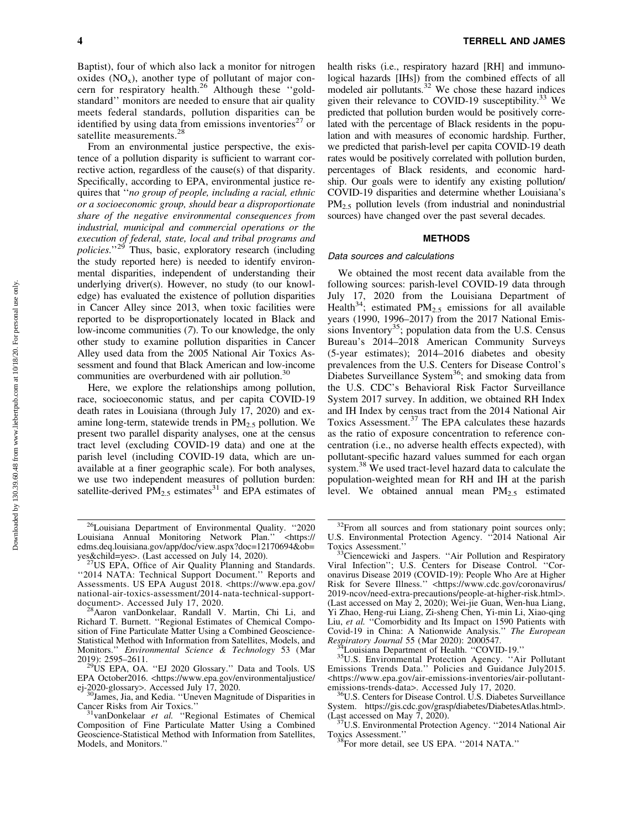Baptist), four of which also lack a monitor for nitrogen oxides  $(NO_x)$ , another type of pollutant of major concern for respiratory health.<sup>26</sup> Although these "goldstandard'' monitors are needed to ensure that air quality meets federal standards, pollution disparities can be identified by using data from emissions inventories<sup>27</sup> or satellite measurements.<sup>28</sup>

From an environmental justice perspective, the existence of a pollution disparity is sufficient to warrant corrective action, regardless of the cause(s) of that disparity. Specifically, according to EPA, environmental justice requires that ''*no group of people, including a racial, ethnic or a socioeconomic group, should bear a disproportionate share of the negative environmental consequences from industrial, municipal and commercial operations or the execution of federal, state, local and tribal programs and policies*.''29 Thus, basic, exploratory research (including the study reported here) is needed to identify environmental disparities, independent of understanding their underlying driver(s). However, no study (to our knowledge) has evaluated the existence of pollution disparities in Cancer Alley since 2013, when toxic facilities were reported to be disproportionately located in Black and low-income communities (*7*). To our knowledge, the only other study to examine pollution disparities in Cancer Alley used data from the 2005 National Air Toxics Assessment and found that Black American and low-income communities are overburdened with air pollution.<sup>30</sup>

Here, we explore the relationships among pollution, race, socioeconomic status, and per capita COVID-19 death rates in Louisiana (through July 17, 2020) and examine long-term, statewide trends in  $PM<sub>2.5</sub>$  pollution. We present two parallel disparity analyses, one at the census tract level (excluding COVID-19 data) and one at the parish level (including COVID-19 data, which are unavailable at a finer geographic scale). For both analyses, we use two independent measures of pollution burden: satellite-derived  $\overrightarrow{PM}_{2.5}$  estimates<sup>31</sup> and EPA estimates of health risks (i.e., respiratory hazard [RH] and immunological hazards [IHs]) from the combined effects of all modeled air pollutants.<sup>32</sup> We chose these hazard indices given their relevance to COVID-19 susceptibility.<sup>33</sup> We predicted that pollution burden would be positively correlated with the percentage of Black residents in the population and with measures of economic hardship. Further, we predicted that parish-level per capita COVID-19 death rates would be positively correlated with pollution burden, percentages of Black residents, and economic hardship. Our goals were to identify any existing pollution/ COVID-19 disparities and determine whether Louisiana's  $PM<sub>2.5</sub>$  pollution levels (from industrial and nonindustrial sources) have changed over the past several decades.

# **METHODS**

#### Data sources and calculations

We obtained the most recent data available from the following sources: parish-level COVID-19 data through July 17, 2020 from the Louisiana Department of Health<sup>34</sup>; estimated  $PM_{2.5}$  emissions for all available years (1990, 1996–2017) from the 2017 National Emissions Inventory<sup>35</sup>; population data from the U.S. Census Bureau's 2014–2018 American Community Surveys (5-year estimates); 2014–2016 diabetes and obesity prevalences from the U.S. Centers for Disease Control's Diabetes Surveillance System<sup>36</sup>; and smoking data from the U.S. CDC's Behavioral Risk Factor Surveillance System 2017 survey. In addition, we obtained RH Index and IH Index by census tract from the 2014 National Air Toxics Assessment.<sup>37</sup> The EPA calculates these hazards as the ratio of exposure concentration to reference concentration (i.e., no adverse health effects expected), with pollutant-specific hazard values summed for each organ system.<sup>38</sup> We used tract-level hazard data to calculate the population-weighted mean for RH and IH at the parish level. We obtained annual mean  $PM_{2.5}$  estimated

<sup>&</sup>lt;sup>26</sup>Louisiana Department of Environmental Quality. "2020<br>  $2^{6}$ Louisiana Annual Monitoring Network Plan." <https:// Louisiana Annual Monitoring Network Plan." [edms.deq.louisiana.gov/app/doc/view.aspx?doc=12170694&ob=](https://edms.deq.louisiana.gov/app/doc/view.aspx?doc=12170694&ob=yes&child=yes)<br>yes&child=yes>. (Last accessed on July 14, 2020).

<sup>&</sup>lt;sup>27</sup>US EPA, Office of Air Quality Planning and Standards. ''2014 NATA: Technical Support Document.'' Reports and Assessments. US EPA August 2018. <[https://www.epa.gov/](https://www.epa.gov/national-air-toxics-assessment/2014-nata-technical-support-document) [national-air-toxics-assessment/2014-nata-technical-support](https://www.epa.gov/national-air-toxics-assessment/2014-nata-technical-support-document)[document](https://www.epa.gov/national-air-toxics-assessment/2014-nata-technical-support-document)>. Accessed July 17, 2020.<br><sup>28</sup>Aaron vanDonkelaar, Randall V. Martin, Chi Li, and

Richard T. Burnett. ''Regional Estimates of Chemical Composition of Fine Particulate Matter Using a Combined Geoscience-Statistical Method with Information from Satellites, Models, and Monitors.'' *Environmental Science & Technology* 53 (Mar

<sup>2019): 2595–2611.&</sup>lt;br><sup>29</sup>US EPA, OA. "EJ 2020 Glossary." Data and Tools. US EPA October2016. <[https://www.epa.gov/environmentaljustice/](https://www.epa.gov/environmentaljustice/ej-2020-glossary)<br>ej-2020-glossary>. Accessed July 17, 2020.

 $^{30}$ James, Jia, and Kedia. "Uneven Magnitude of Disparities in Cancer Risks from Air Toxics."

vanDonkelaar et al. "Regional Estimates of Chemical Composition of Fine Particulate Matter Using a Combined Geoscience-Statistical Method with Information from Satellites, Models, and Monitors.''

 $32$ From all sources and from stationary point sources only; U.S. Environmental Protection Agency. ''2014 National Air Toxics Assessment.'' 33Ciencewicki and Jaspers. ''Air Pollution and Respiratory

Viral Infection''; U.S. Centers for Disease Control. ''Coronavirus Disease 2019 (COVID-19): People Who Are at Higher Risk for Severe Illness." <[https://www.cdc.gov/coronavirus/](https://www.cdc.gov/coronavirus/2019-ncov/need-extra-precautions/people-at-higher-risk.html) [2019-ncov/need-extra-precautions/people-at-higher-risk.html](https://www.cdc.gov/coronavirus/2019-ncov/need-extra-precautions/people-at-higher-risk.html)>. (Last accessed on May 2, 2020); Wei-jie Guan, Wen-hua Liang, Yi Zhao, Heng-rui Liang, Zi-sheng Chen, Yi-min Li, Xiao-qing Liu, et al. "Comorbidity and Its Impact on 1590 Patients with Covid-19 in China: A Nationwide Analysis.'' *The European*

<sup>&</sup>lt;sup>34</sup>Louisiana Department of Health. ''COVID-19.''<br><sup>35</sup>U.S. Environmental Protection Agency. ''Air Pollutant Emissions Trends Data.'' Policies and Guidance July2015. <https://www.epa.gov/air-emissions-inventories/air-pollutant-emissions-trends-data>. Accessed July 17, 2020.

U.S. Centers for Disease Control. U.S. Diabetes Surveillance System.<https://gis.cdc.gov/grasp/diabetes/DiabetesAtlas.html>>.<br>(Last accessed on May 7, 2020).

 $\frac{37 \text{U.S. Environmental Protection Agency.}}{2014 \text{ National Air Toxics Assessment."}}$ 

 $38$ For more detail, see US EPA.  $\cdot$ 2014 NATA.''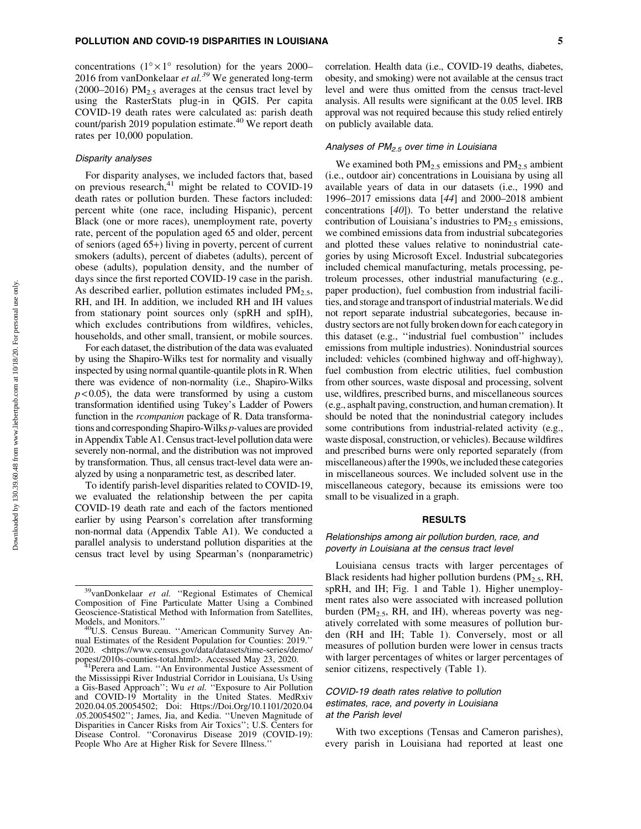concentrations  $(1^{\circ} \times 1^{\circ}$  resolution) for the years 2000– 2016 from vanDonkelaar *et al.39* We generated long-term (2000–2016)  $PM<sub>2.5</sub> averages at the census tract level by$ using the RasterStats plug-in in QGIS. Per capita COVID-19 death rates were calculated as: parish death count/parish 2019 population estimate.<sup>40</sup> We report death rates per 10,000 population.

# Disparity analyses

For disparity analyses, we included factors that, based on previous research, $41$  might be related to COVID-19 death rates or pollution burden. These factors included: percent white (one race, including Hispanic), percent Black (one or more races), unemployment rate, poverty rate, percent of the population aged 65 and older, percent of seniors (aged 65+) living in poverty, percent of current smokers (adults), percent of diabetes (adults), percent of obese (adults), population density, and the number of days since the first reported COVID-19 case in the parish. As described earlier, pollution estimates included  $PM<sub>2.5</sub>$ , RH, and IH. In addition, we included RH and IH values from stationary point sources only (spRH and spIH), which excludes contributions from wildfires, vehicles, households, and other small, transient, or mobile sources.

For each dataset, the distribution of the data was evaluated by using the Shapiro-Wilks test for normality and visually inspected by using normal quantile-quantile plots in R. When there was evidence of non-normality (i.e., Shapiro-Wilks  $p$  < 0.05), the data were transformed by using a custom transformation identified using Tukey's Ladder of Powers function in the *rcompanion* package of R. Data transformations and corresponding Shapiro-Wilks *p-*values are provided in Appendix Table A1. Census tract-level pollution data were severely non-normal, and the distribution was not improved by transformation. Thus, all census tract-level data were analyzed by using a nonparametric test, as described later.

To identify parish-level disparities related to COVID-19, we evaluated the relationship between the per capita COVID-19 death rate and each of the factors mentioned earlier by using Pearson's correlation after transforming non-normal data (Appendix Table A1). We conducted a parallel analysis to understand pollution disparities at the census tract level by using Spearman's (nonparametric) correlation. Health data (i.e., COVID-19 deaths, diabetes, obesity, and smoking) were not available at the census tract level and were thus omitted from the census tract-level analysis. All results were significant at the 0.05 level. IRB approval was not required because this study relied entirely on publicly available data.

# Analyses of  $PM<sub>2.5</sub>$  over time in Louisiana

We examined both  $PM_{2.5}$  emissions and  $PM_{2.5}$  ambient (i.e., outdoor air) concentrations in Louisiana by using all available years of data in our datasets (i.e., 1990 and 1996–2017 emissions data [*44*] and 2000–2018 ambient concentrations [*40*]). To better understand the relative contribution of Louisiana's industries to  $PM_{2.5}$  emissions, we combined emissions data from industrial subcategories and plotted these values relative to nonindustrial categories by using Microsoft Excel. Industrial subcategories included chemical manufacturing, metals processing, petroleum processes, other industrial manufacturing (e.g., paper production), fuel combustion from industrial facilities, and storage and transport of industrial materials. We did not report separate industrial subcategories, because industry sectors are not fully broken down for each category in this dataset (e.g., ''industrial fuel combustion'' includes emissions from multiple industries). Nonindustrial sources included: vehicles (combined highway and off-highway), fuel combustion from electric utilities, fuel combustion from other sources, waste disposal and processing, solvent use, wildfires, prescribed burns, and miscellaneous sources (e.g., asphalt paving, construction, and human cremation). It should be noted that the nonindustrial category includes some contributions from industrial-related activity (e.g., waste disposal, construction, or vehicles). Because wildfires and prescribed burns were only reported separately (from miscellaneous) after the 1990s, we included these categories in miscellaneous sources. We included solvent use in the miscellaneous category, because its emissions were too small to be visualized in a graph.

# RESULTS

# Relationships among air pollution burden, race, and poverty in Louisiana at the census tract level

Louisiana census tracts with larger percentages of Black residents had higher pollution burdens (PM<sub>2.5</sub>, RH, spRH, and IH; Fig. 1 and Table 1). Higher unemployment rates also were associated with increased pollution burden ( $PM_{2.5}$ , RH, and IH), whereas poverty was negatively correlated with some measures of pollution burden (RH and IH; Table 1). Conversely, most or all measures of pollution burden were lower in census tracts with larger percentages of whites or larger percentages of senior citizens, respectively (Table 1).

# COVID-19 death rates relative to pollution estimates, race, and poverty in Louisiana at the Parish level

With two exceptions (Tensas and Cameron parishes), every parish in Louisiana had reported at least one

<sup>&</sup>lt;sup>39</sup>vanDonkelaar et al. "Regional Estimates of Chemical Composition of Fine Particulate Matter Using a Combined Geoscience-Statistical Method with Information from Satellites,

<sup>&</sup>lt;sup>0</sup>U.S. Census Bureau. "American Community Survey Annual Estimates of the Resident Population for Counties: 2019.'' 2020. <[https://www.census.gov/data/datasets/time-series/demo/](https://www.census.gov/data/datasets/time-series/demo/popest/2010s-counties-total.html) [popest/2010s-counties-total.html](https://www.census.gov/data/datasets/time-series/demo/popest/2010s-counties-total.html)>. Accessed May 23, 2020. 41Perera and Lam. ''An Environmental Justice Assessment of

the Mississippi River Industrial Corridor in Louisiana, Us Using a Gis-Based Approach''; Wu *et al.* ''Exposure to Air Pollution and COVID-19 Mortality in the United States. MedRxiv 2020.04.05.20054502; Doi: [Https://Doi.Org/10.1101/2020.04](Https://Doi.Org/10.1101/2020.04.05.20054502”;) [.05.20054502'';](Https://Doi.Org/10.1101/2020.04.05.20054502”;) James, Jia, and Kedia. ''Uneven Magnitude of Disparities in Cancer Risks from Air Toxics''; U.S. Centers for Disease Control. ''Coronavirus Disease 2019 (COVID-19): People Who Are at Higher Risk for Severe Illness.''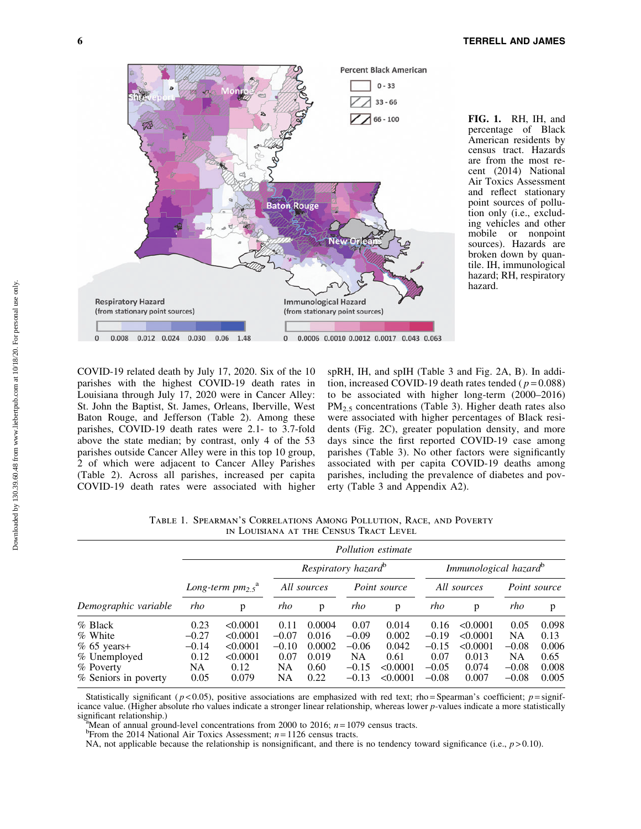

FIG. 1. RH, IH, and percentage of Black American residents by census tract. Hazards are from the most recent (2014) National Air Toxics Assessment and reflect stationary point sources of pollution only (i.e., excluding vehicles and other mobile or nonpoint sources). Hazards are broken down by quantile. IH, immunological hazard; RH, respiratory hazard.

COVID-19 related death by July 17, 2020. Six of the 10 parishes with the highest COVID-19 death rates in Louisiana through July 17, 2020 were in Cancer Alley: St. John the Baptist, St. James, Orleans, Iberville, West Baton Rouge, and Jefferson (Table 2). Among these parishes, COVID-19 death rates were 2.1- to 3.7-fold above the state median; by contrast, only 4 of the 53 parishes outside Cancer Alley were in this top 10 group, 2 of which were adjacent to Cancer Alley Parishes (Table 2). Across all parishes, increased per capita COVID-19 death rates were associated with higher

spRH, IH, and spIH (Table 3 and Fig. 2A, B). In addition, increased COVID-19 death rates tended ( *p* = 0.088) to be associated with higher long-term (2000–2016)  $PM<sub>2.5</sub> concentrations (Table 3). Higher death rates also$ were associated with higher percentages of Black residents (Fig. 2C), greater population density, and more days since the first reported COVID-19 case among parishes (Table 3). No other factors were significantly associated with per capita COVID-19 deaths among parishes, including the prevalence of diabetes and poverty (Table 3 and Appendix A2).

| ну востанит нг тив свидод тилет ввуш |                                   |          |                                 |        |              |          |                                   |          |              |       |
|--------------------------------------|-----------------------------------|----------|---------------------------------|--------|--------------|----------|-----------------------------------|----------|--------------|-------|
|                                      | Pollution estimate                |          |                                 |        |              |          |                                   |          |              |       |
|                                      |                                   |          | Respiratory hazard <sup>o</sup> |        |              |          | Immunological hazard <sup>o</sup> |          |              |       |
|                                      | Long-term $pm_{2.5}$ <sup>a</sup> |          | All sources                     |        | Point source |          | All sources                       |          | Point source |       |
| Demographic variable                 | rho                               | p        | rho                             | p      | rho          | p        | rho                               | p        | rho          | p     |
| % Black                              | 0.23                              | < 0.0001 | 0.11                            | 0.0004 | 0.07         | 0.014    | 0.16                              | < 0.0001 | 0.05         | 0.098 |
| % White                              | $-0.27$                           | < 0.0001 | $-0.07$                         | 0.016  | $-0.09$      | 0.002    | $-0.19$                           | < 0.0001 | NA           | 0.13  |
| $% 65 \text{ years+}$                | $-0.14$                           | < 0.0001 | $-0.10$                         | 0.0002 | $-0.06$      | 0.042    | $-0.15$                           | < 0.0001 | $-0.08$      | 0.006 |
| % Unemployed                         | 0.12                              | < 0.0001 | 0.07                            | 0.019  | NA           | 0.61     | 0.07                              | 0.013    | NA           | 0.65  |
| % Poverty                            | NA                                | 0.12     | <b>NA</b>                       | 0.60   | $-0.15$      | < 0.0001 | $-0.05$                           | 0.074    | $-0.08$      | 0.008 |
| % Seniors in poverty                 | 0.05                              | 0.079    | NΑ                              | 0.22   | $-0.13$      | < 0.0001 | $-0.08$                           | 0.007    | $-0.08$      | 0.005 |

Table 1. Spearman's Correlations Among Pollution, Race, and Poverty in Louisiana at the Census Tract Level

Statistically significant ( $p < 0.05$ ), positive associations are emphasized with red text; rho=Spearman's coefficient;  $p =$ significance value. (Higher absolute rho values indicate a stronger linear relationship, whereas lower *p-*values indicate a more statistically significant relationship.)

<sup>a</sup>Mean of annual ground-level concentrations from 2000 to 2016;  $n = 1079$  census tracts.

From the 2014 National Air Toxics Assessment; *n* = 1126 census tracts.

NA, not applicable because the relationship is nonsignificant, and there is no tendency toward significance (i.e.,  $p > 0.10$ ).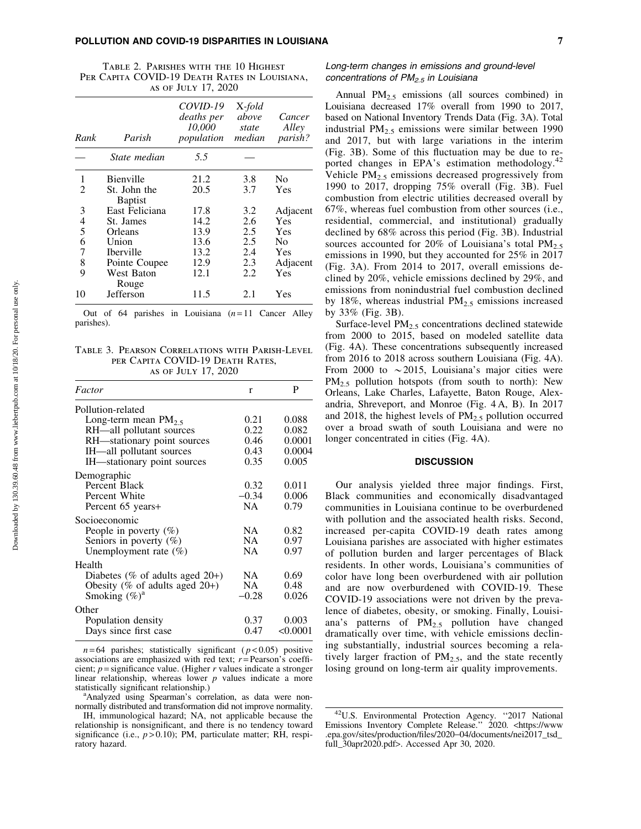#### POLLUTION AND COVID-19 DISPARITIES IN LOUISIANA 7

Table 2. Parishes with the 10 Highest PER CAPITA COVID-19 DEATH RATES IN LOUISIANA, as of July 17, 2020

| Rank                     | Parish                         | COVID-19<br>deaths per<br>10.000<br>population | X-fold<br>above<br>state<br>median | Cancer<br>Alley<br>parish? |
|--------------------------|--------------------------------|------------------------------------------------|------------------------------------|----------------------------|
|                          | State median                   | 5.5                                            |                                    |                            |
| 1                        | <b>Bienville</b>               | 21.2                                           | 3.8                                | N <sub>0</sub>             |
| 2                        | St. John the<br><b>Baptist</b> | 20.5                                           | 3.7                                | Yes                        |
| 3                        | East Feliciana                 | 17.8                                           | 3.2                                | Adjacent                   |
| $\overline{\mathcal{L}}$ | St. James                      | 14.2                                           | 2.6                                | Yes                        |
| 5                        | Orleans                        | 13.9                                           | 2.5                                | Yes                        |
| 6                        | Union                          | 13.6                                           | 2.5                                | N <sub>0</sub>             |
| 7                        | <b>Iberville</b>               | 13.2                                           | 2.4                                | Yes                        |
| 8                        | Pointe Coupee                  | 12.9                                           | 2.3                                | Adjacent                   |
| 9                        | West Baton<br>Rouge            | 12.1                                           | 2.2.                               | Yes                        |
| 10                       | Jefferson                      | 11.5                                           | 2.1                                | Yes                        |

Out of 64 parishes in Louisiana  $(n=11)$  Cancer Alley parishes).

Table 3. Pearson Correlations with Parish-Level per Capita COVID-19 Death Rates, as of July 17, 2020

| Factor                             | r         | P        |
|------------------------------------|-----------|----------|
| Pollution-related                  |           |          |
| Long-term mean $PM_2$ ,            | 0.21      | 0.088    |
| RH-all pollutant sources           | 0.22      | 0.082    |
| RH-stationary point sources        | 0.46      | 0.0001   |
| IH-all pollutant sources           | 0.43      | 0.0004   |
| IH—stationary point sources        | 0.35      | 0.005    |
| Demographic                        |           |          |
| Percent Black                      | 0.32      | 0.011    |
| Percent White                      | $-0.34$   | 0.006    |
| Percent 65 years+                  | <b>NA</b> | 0.79     |
| Socioeconomic                      |           |          |
| People in poverty $(\%)$           | NA.       | 0.82     |
| Seniors in poverty $(\%)$          | NA.       | 0.97     |
| Unemployment rate (%)              | NA.       | 0.97     |
| Health                             |           |          |
| Diabetes (% of adults aged $20+$ ) | NA.       | 0.69     |
| Obesity (% of adults aged $20+$ )  | NA        | 0.48     |
| Smoking $(\%)^a$                   | $-0.28$   | 0.026    |
| Other                              |           |          |
| Population density                 | 0.37      | 0.003    |
| Days since first case              | 0.47      | < 0.0001 |

 $n = 64$  parishes; statistically significant ( $p < 0.05$ ) positive associations are emphasized with red text; *r* = Pearson's coefficient; *p* = significance value. (Higher *r* values indicate a stronger linear relationship, whereas lower *p* values indicate a more statistically significant relationship.)

<sup>a</sup>Analyzed using Spearman's correlation, as data were nonnormally distributed and transformation did not improve normality.

# Long-term changes in emissions and ground-level concentrations of  $PM_{2.5}$  in Louisiana

Annual  $PM_{2.5}$  emissions (all sources combined) in Louisiana decreased 17% overall from 1990 to 2017, based on National Inventory Trends Data (Fig. 3A). Total industrial  $PM<sub>2.5</sub>$  emissions were similar between 1990 and 2017, but with large variations in the interim (Fig. 3B). Some of this fluctuation may be due to reported changes in EPA's estimation methodology.<sup>42</sup> Vehicle  $PM_{2.5}$  emissions decreased progressively from 1990 to 2017, dropping 75% overall (Fig. 3B). Fuel combustion from electric utilities decreased overall by 67%, whereas fuel combustion from other sources (i.e., residential, commercial, and institutional) gradually declined by 68% across this period (Fig. 3B). Industrial sources accounted for 20% of Louisiana's total  $PM<sub>2.5</sub>$ emissions in 1990, but they accounted for 25% in 2017 (Fig. 3A). From 2014 to 2017, overall emissions declined by 20%, vehicle emissions declined by 29%, and emissions from nonindustrial fuel combustion declined by 18%, whereas industrial  $PM_{2.5}$  emissions increased by 33% (Fig. 3B).

Surface-level  $PM<sub>2.5</sub>$  concentrations declined statewide from 2000 to 2015, based on modeled satellite data (Fig. 4A). These concentrations subsequently increased from 2016 to 2018 across southern Louisiana (Fig. 4A). From 2000 to  $\sim$  2015, Louisiana's major cities were  $PM_{2.5}$  pollution hotspots (from south to north): New Orleans, Lake Charles, Lafayette, Baton Rouge, Alexandria, Shreveport, and Monroe (Fig. 4 A, B). In 2017 and 2018, the highest levels of  $PM_{2.5}$  pollution occurred over a broad swath of south Louisiana and were no longer concentrated in cities (Fig. 4A).

## **DISCUSSION**

Our analysis yielded three major findings. First, Black communities and economically disadvantaged communities in Louisiana continue to be overburdened with pollution and the associated health risks. Second, increased per-capita COVID-19 death rates among Louisiana parishes are associated with higher estimates of pollution burden and larger percentages of Black residents. In other words, Louisiana's communities of color have long been overburdened with air pollution and are now overburdened with COVID-19. These COVID-19 associations were not driven by the prevalence of diabetes, obesity, or smoking. Finally, Louisiana's patterns of  $PM_{2.5}$  pollution have changed dramatically over time, with vehicle emissions declining substantially, industrial sources becoming a relatively larger fraction of  $PM_{2.5}$ , and the state recently losing ground on long-term air quality improvements.

IH, immunological hazard; NA, not applicable because the relationship is nonsignificant, and there is no tendency toward significance (i.e.,  $p > 0.10$ ); PM, particulate matter; RH, respiratory hazard.

<sup>42</sup>U.S. Environmental Protection Agency. ''2017 National Emissions Inventory Complete Release." 2020. <[https://www](https://www.epa.gov/sites/production/files/2020−04/documents/nei2017_tsd_full_30apr2020.pdf). [.epa.gov/sites/production/files/2020](https://www.epa.gov/sites/production/files/2020−04/documents/nei2017_tsd_full_30apr2020.pdf)-04/documents/nei2017\_tsd\_ [full\\_30apr2020.pdf](https://www.epa.gov/sites/production/files/2020−04/documents/nei2017_tsd_full_30apr2020.pdf)>. Accessed Apr 30, 2020.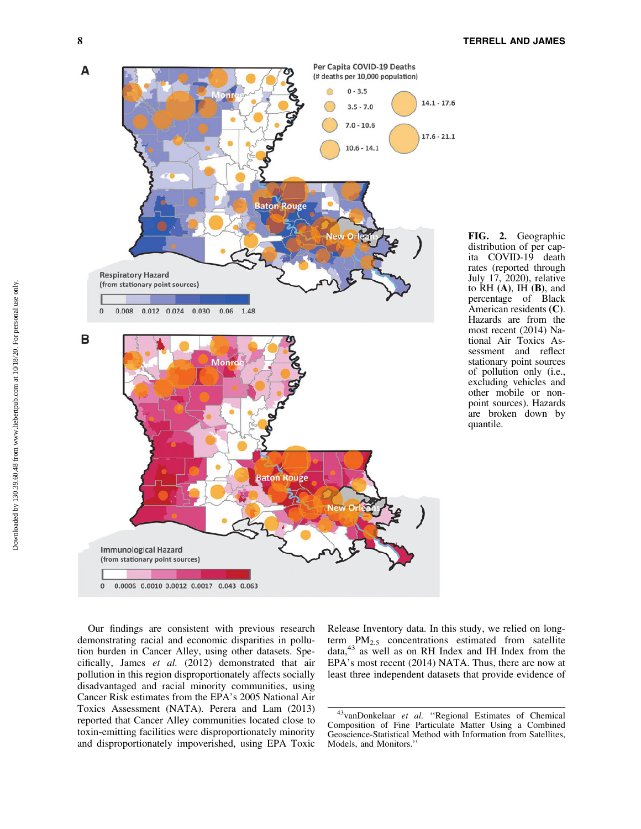

FIG. 2. Geographic distribution of per capita COVID-19 death rates (reported through July 17, 2020), relative to  $\hat{R}H(\mathbf{A})$ ,  $\hat{H}(\mathbf{B})$ , and percentage of Black American residents (C). Hazards are from the most recent (2014) National Air Toxics Assessment and reflect stationary point sources of pollution only (i.e., excluding vehicles and other mobile or nonpoint sources). Hazards are broken down by quantile.

Our findings are consistent with previous research demonstrating racial and economic disparities in pollution burden in Cancer Alley, using other datasets. Specifically, James *et al.* (2012) demonstrated that air pollution in this region disproportionately affects socially disadvantaged and racial minority communities, using Cancer Risk estimates from the EPA's 2005 National Air Toxics Assessment (NATA). Perera and Lam (2013) reported that Cancer Alley communities located close to toxin-emitting facilities were disproportionately minority and disproportionately impoverished, using EPA Toxic Release Inventory data. In this study, we relied on longterm  $PM_{2.5}$  concentrations estimated from satellite data, $43$  as well as on RH Index and IH Index from the EPA's most recent (2014) NATA. Thus, there are now at least three independent datasets that provide evidence of

<sup>43</sup>vanDonkelaar *et al.* ''Regional Estimates of Chemical Composition of Fine Particulate Matter Using a Combined Geoscience-Statistical Method with Information from Satellites, Models, and Monitors.''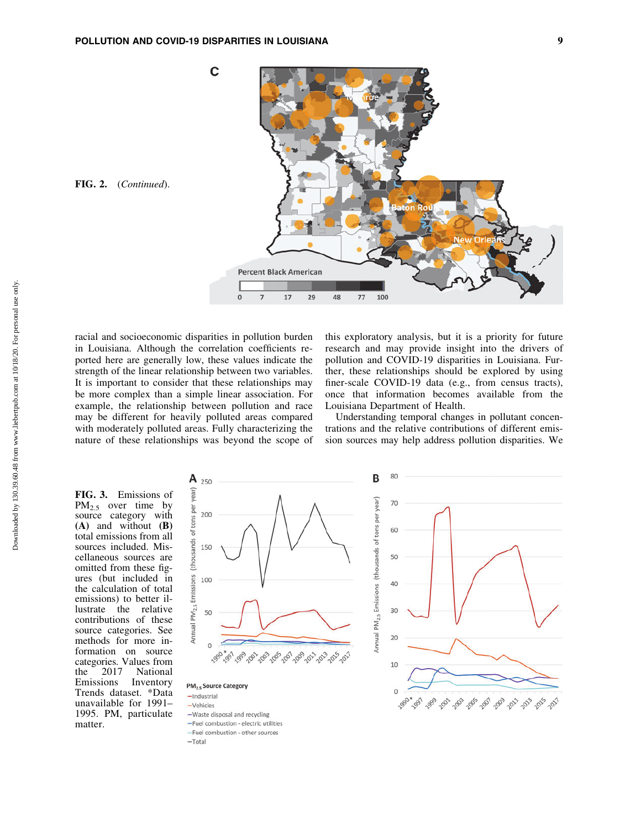

racial and socioeconomic disparities in pollution burden in Louisiana. Although the correlation coefficients reported here are generally low, these values indicate the strength of the linear relationship between two variables. It is important to consider that these relationships may be more complex than a simple linear association. For example, the relationship between pollution and race may be different for heavily polluted areas compared with moderately polluted areas. Fully characterizing the nature of these relationships was beyond the scope of

-Fuel combustion - other sources

 $-Total$ 

this exploratory analysis, but it is a priority for future research and may provide insight into the drivers of pollution and COVID-19 disparities in Louisiana. Further, these relationships should be explored by using finer-scale COVID-19 data (e.g., from census tracts), once that information becomes available from the Louisiana Department of Health.

Understanding temporal changes in pollutant concentrations and the relative contributions of different emission sources may help address pollution disparities. We

FIG. 3. Emissions of  $PM_{2.5}$  over time by source category with (A) and without (B) total emissions from all sources included. Miscellaneous sources are omitted from these figures (but included in the calculation of total emissions) to better illustrate the relative contributions of these source categories. See methods for more information on source categories. Values from<br>the 2017 National the  $2017$ Emissions Inventory Trends dataset. \*Data unavailable for 1991– 1995. PM, particulate matter.

FIG. 2. (*Continued*).

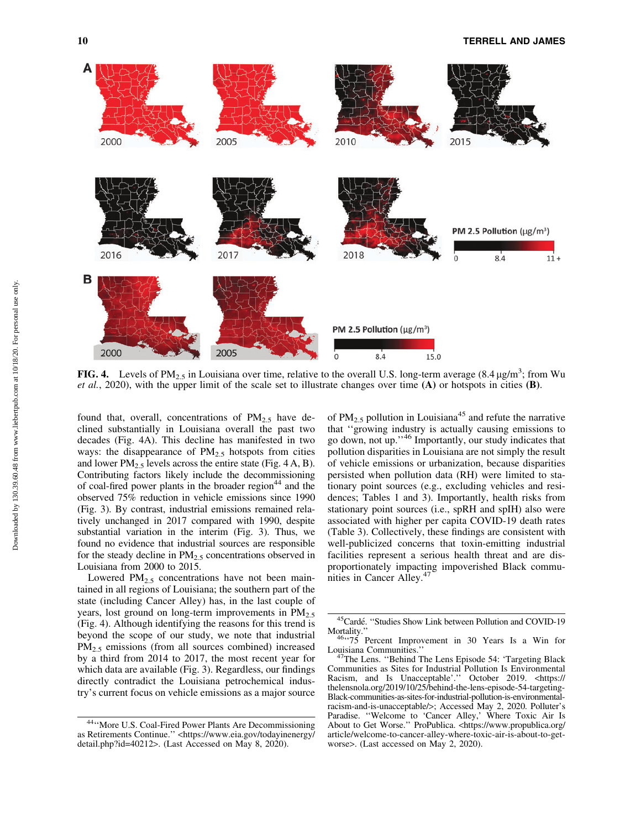

FIG. 4. Levels of PM<sub>2.5</sub> in Louisiana over time, relative to the overall U.S. long-term average  $(8.4 \text{ }\mu\text{g/m}^3)$ ; from Wu *et al.*, 2020), with the upper limit of the scale set to illustrate changes over time (A) or hotspots in cities (B).

found that, overall, concentrations of  $PM_{2.5}$  have declined substantially in Louisiana overall the past two decades (Fig. 4A). This decline has manifested in two ways: the disappearance of  $PM_{2.5}$  hotspots from cities and lower  $PM_{2.5}$  levels across the entire state (Fig. 4 A, B). Contributing factors likely include the decommissioning of coal-fired power plants in the broader region<sup>44</sup> and the observed 75% reduction in vehicle emissions since 1990 (Fig. 3). By contrast, industrial emissions remained relatively unchanged in 2017 compared with 1990, despite substantial variation in the interim (Fig. 3). Thus, we found no evidence that industrial sources are responsible for the steady decline in  $PM<sub>2.5</sub>$  concentrations observed in Louisiana from 2000 to 2015.

Lowered  $PM_{2.5}$  concentrations have not been maintained in all regions of Louisiana; the southern part of the state (including Cancer Alley) has, in the last couple of years, lost ground on long-term improvements in  $PM_{2.5}$ (Fig. 4). Although identifying the reasons for this trend is beyond the scope of our study, we note that industrial PM<sub>2.5</sub> emissions (from all sources combined) increased by a third from 2014 to 2017, the most recent year for which data are available (Fig. 3). Regardless, our findings directly contradict the Louisiana petrochemical industry's current focus on vehicle emissions as a major source

of PM<sub>2.5</sub> pollution in Louisiana<sup>45</sup> and refute the narrative that ''growing industry is actually causing emissions to go down, not up.''<sup>46</sup> Importantly, our study indicates that pollution disparities in Louisiana are not simply the result of vehicle emissions or urbanization, because disparities persisted when pollution data (RH) were limited to stationary point sources (e.g., excluding vehicles and residences; Tables 1 and 3). Importantly, health risks from stationary point sources (i.e., spRH and spIH) also were associated with higher per capita COVID-19 death rates (Table 3). Collectively, these findings are consistent with well-publicized concerns that toxin-emitting industrial facilities represent a serious health threat and are disproportionately impacting impoverished Black communities in Cancer Alley. $47$ 

<sup>44&#</sup>x27;'More U.S. Coal-Fired Power Plants Are Decommissioning as Retirements Continue.'' <[https://www.eia.gov/todayinenergy/](https://www.eia.gov/todayinenergy/detail.php?id=40212) [detail.php?id=40212](https://www.eia.gov/todayinenergy/detail.php?id=40212)>. (Last Accessed on May 8, 2020).

<sup>&</sup>lt;sup>45</sup>Cardé. "Studies Show Link between Pollution and COVID-19 Mortality."<br><sup>46</sup>''75 Percent Improvement in 30 Years Is a Win for

Louisiana Communities.'' 47The Lens. ''Behind The Lens Episode 54: 'Targeting Black Communities as Sites for Industrial Pollution Is Environmental Racism, and Is Unacceptable'.'' October 2019. <[https://](https://thelensnola.org/2019/10/25/behind-the-lens-episode-54-targeting-Black-communities-as-sites-for-industrial-pollution-is-environmental-racism-and-is-unacceptable/>;) [thelensnola.org/2019/10/25/behind-the-lens-episode-54-targeting-](https://thelensnola.org/2019/10/25/behind-the-lens-episode-54-targeting-Black-communities-as-sites-for-industrial-pollution-is-environmental-racism-and-is-unacceptable/>;)[Black-communities-as-sites-for-industrial-pollution-is-environmental](https://thelensnola.org/2019/10/25/behind-the-lens-episode-54-targeting-Black-communities-as-sites-for-industrial-pollution-is-environmental-racism-and-is-unacceptable/>;)[racism-and-is-unacceptable/](https://thelensnola.org/2019/10/25/behind-the-lens-episode-54-targeting-Black-communities-as-sites-for-industrial-pollution-is-environmental-racism-and-is-unacceptable/>;)>; Accessed May 2, 2020. Polluter's Paradise. ''Welcome to 'Cancer Alley,' Where Toxic Air Is About to Get Worse.'' ProPublica. <[https://www.propublica.org/](https://www.propublica.org/article/welcome-to-cancer-alley-where-toxic-air-is-about-to-get-worse) [article/welcome-to-cancer-alley-where-toxic-air-is-about-to-get](https://www.propublica.org/article/welcome-to-cancer-alley-where-toxic-air-is-about-to-get-worse)[worse](https://www.propublica.org/article/welcome-to-cancer-alley-where-toxic-air-is-about-to-get-worse)>. (Last accessed on May 2, 2020).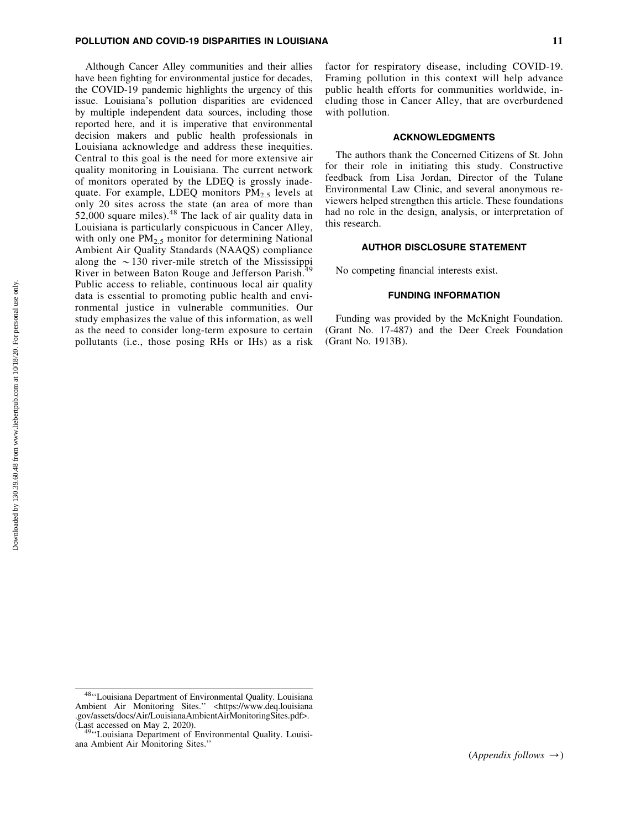# POLLUTION AND COVID-19 DISPARITIES IN LOUISIANA 11

Although Cancer Alley communities and their allies have been fighting for environmental justice for decades, the COVID-19 pandemic highlights the urgency of this issue. Louisiana's pollution disparities are evidenced by multiple independent data sources, including those reported here, and it is imperative that environmental decision makers and public health professionals in Louisiana acknowledge and address these inequities. Central to this goal is the need for more extensive air quality monitoring in Louisiana. The current network of monitors operated by the LDEQ is grossly inadequate. For example, LDEQ monitors  $PM_{2.5}$  levels at only 20 sites across the state (an area of more than  $52,000$  square miles).<sup>48</sup> The lack of air quality data in Louisiana is particularly conspicuous in Cancer Alley, with only one  $PM<sub>2.5</sub>$  monitor for determining National Ambient Air Quality Standards (NAAQS) compliance along the  $\sim$ 130 river-mile stretch of the Mississippi River in between Baton Rouge and Jefferson Parish.<sup>4</sup> Public access to reliable, continuous local air quality data is essential to promoting public health and environmental justice in vulnerable communities. Our study emphasizes the value of this information, as well as the need to consider long-term exposure to certain pollutants (i.e., those posing RHs or IHs) as a risk factor for respiratory disease, including COVID-19. Framing pollution in this context will help advance public health efforts for communities worldwide, including those in Cancer Alley, that are overburdened with pollution.

#### ACKNOWLEDGMENTS

The authors thank the Concerned Citizens of St. John for their role in initiating this study. Constructive feedback from Lisa Jordan, Director of the Tulane Environmental Law Clinic, and several anonymous reviewers helped strengthen this article. These foundations had no role in the design, analysis, or interpretation of this research.

# AUTHOR DISCLOSURE STATEMENT

No competing financial interests exist.

#### FUNDING INFORMATION

Funding was provided by the McKnight Foundation. (Grant No. 17-487) and the Deer Creek Foundation (Grant No. 1913B).

<sup>&</sup>lt;sup>48</sup>"Louisiana Department of Environmental Quality. Louisiana Ambient Air Monitoring Sites.'' <[https://www.deq.louisiana](https://www.deq.louisiana.gov/assets/docs/Air/LouisianaAmbientAirMonitoringSites.pdf) [.gov/assets/docs/Air/LouisianaAmbientAirMonitoringSites.pdf](https://www.deq.louisiana.gov/assets/docs/Air/LouisianaAmbientAirMonitoringSites.pdf)>. (Last accessed on May 2, 2020). 49''Louisiana Department of Environmental Quality. Louisi-

ana Ambient Air Monitoring Sites.''